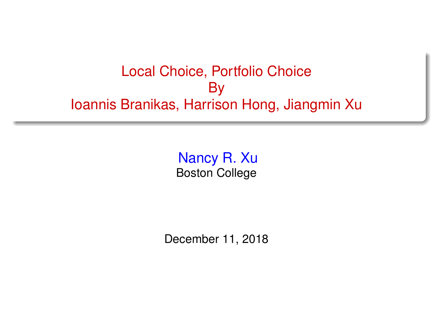#### <span id="page-0-0"></span>Local Choice, Portfolio Choice By Ioannis Branikas, Harrison Hong, Jiangmin Xu

Nancy R. Xu Boston College

December 11, 2018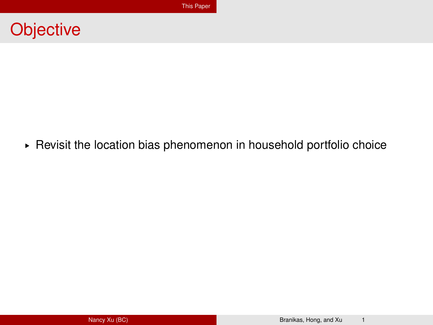<span id="page-1-0"></span>

§ Revisit the location bias phenomenon in household portfolio choice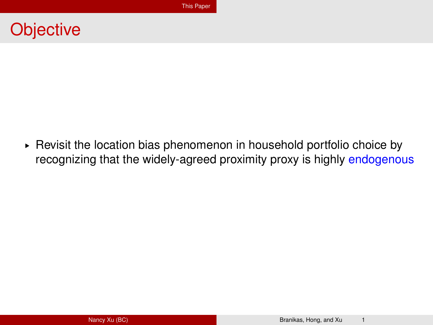#### **Objective**

► Revisit the location bias phenomenon in household portfolio choice by recognizing that the widely-agreed proximity proxy is highly endogenous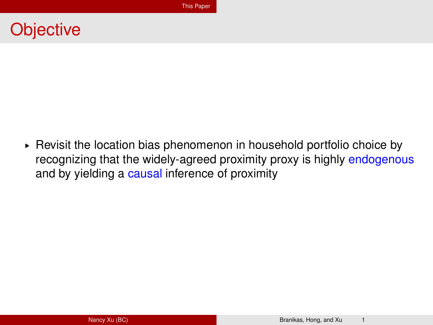#### **Objective**

► Revisit the location bias phenomenon in household portfolio choice by recognizing that the widely-agreed proximity proxy is highly endogenous and by yielding a causal inference of proximity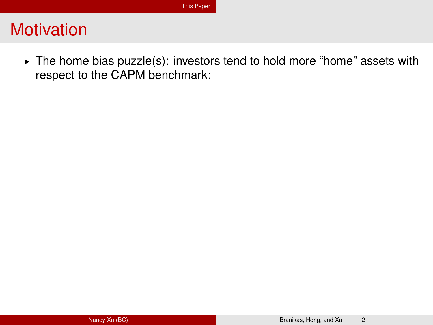▶ The home bias puzzle(s): investors tend to hold more "home" assets with respect to the CAPM benchmark: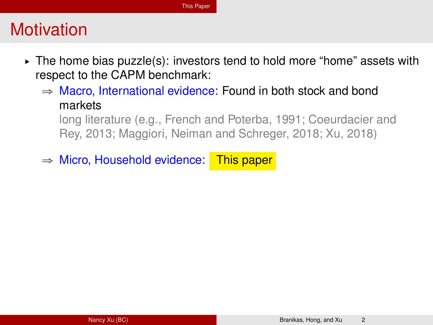- $\triangleright$  The home bias puzzle(s): investors tend to hold more "home" assets with respect to the CAPM benchmark:
	- $\Rightarrow$  Macro, International evidence: Found in both stock and bond markets

long literature (e.g., French and Poterba, 1991; Coeurdacier and Rey, 2013; Maggiori, Neiman and Schreger, 2018; Xu, 2018)

 $\Rightarrow$  Micro, Household evidence: This paper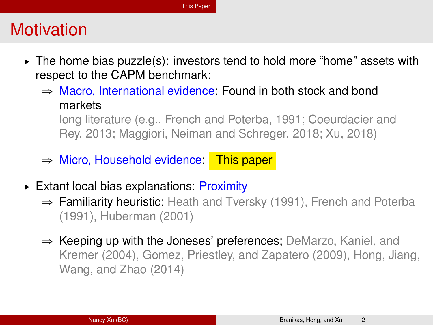- $\triangleright$  The home bias puzzle(s): investors tend to hold more "home" assets with respect to the CAPM benchmark:
	- $\Rightarrow$  Macro, International evidence: Found in both stock and bond markets

long literature (e.g., French and Poterba, 1991; Coeurdacier and Rey, 2013; Maggiori, Neiman and Schreger, 2018; Xu, 2018)

- $\Rightarrow$  Micro, Household evidence: This paper
- § Extant local bias explanations: Proximity
	- $\Rightarrow$  Familiarity heuristic; Heath and Tversky (1991), French and Poterba (1991), Huberman (2001)
	- $\Rightarrow$  Keeping up with the Joneses' preferences; DeMarzo, Kaniel, and Kremer (2004), Gomez, Priestley, and Zapatero (2009), Hong, Jiang, Wang, and Zhao (2014)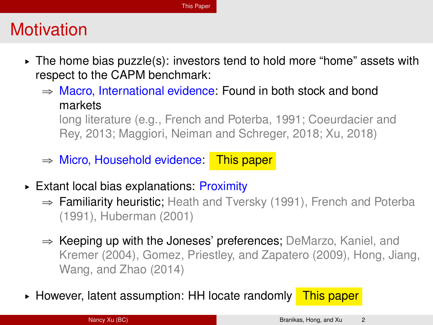- $\triangleright$  The home bias puzzle(s): investors tend to hold more "home" assets with respect to the CAPM benchmark:
	- $\Rightarrow$  Macro, International evidence: Found in both stock and bond markets

long literature (e.g., French and Poterba, 1991; Coeurdacier and Rey, 2013; Maggiori, Neiman and Schreger, 2018; Xu, 2018)

- $\Rightarrow$  Micro, Household evidence: This paper
- ► Extant local bias explanations: Proximity
	- $\Rightarrow$  Familiarity heuristic; Heath and Tversky (1991), French and Poterba (1991), Huberman (2001)
	- $\Rightarrow$  Keeping up with the Joneses' preferences; DeMarzo, Kaniel, and Kremer (2004), Gomez, Priestley, and Zapatero (2009), Hong, Jiang, Wang, and Zhao (2014)
- ► However, latent assumption: HH locate randomly This paper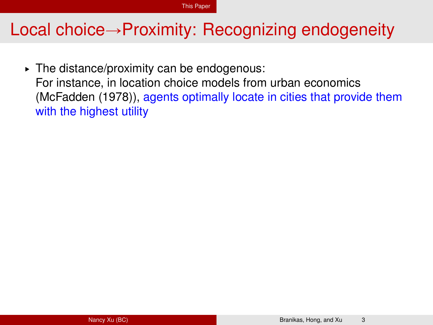$\triangleright$  The distance/proximity can be endogenous: For instance, in location choice models from urban economics (McFadden (1978)), agents optimally locate in cities that provide them with the highest utility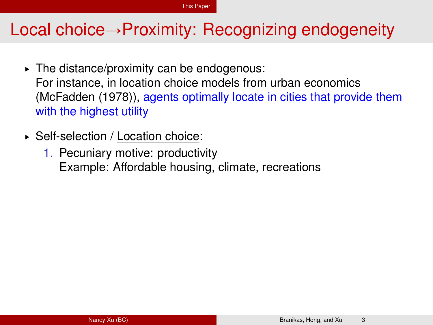- $\triangleright$  The distance/proximity can be endogenous: For instance, in location choice models from urban economics (McFadden (1978)), agents optimally locate in cities that provide them with the highest utility
- § Self-selection / Location choice:
	- 1. Pecuniary motive: productivity Example: Affordable housing, climate, recreations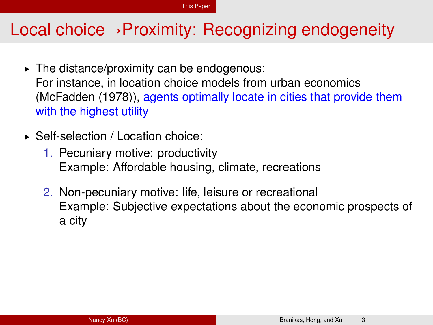- $\triangleright$  The distance/proximity can be endogenous: For instance, in location choice models from urban economics (McFadden (1978)), agents optimally locate in cities that provide them with the highest utility
- § Self-selection / Location choice:
	- 1. Pecuniary motive: productivity Example: Affordable housing, climate, recreations
	- 2. Non-pecuniary motive: life, leisure or recreational Example: Subjective expectations about the economic prospects of a city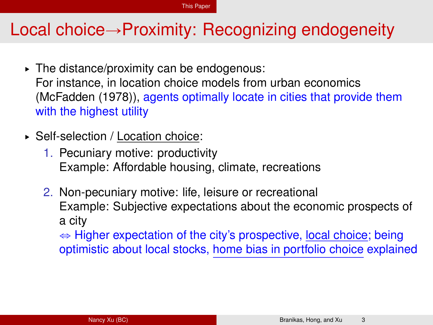- $\triangleright$  The distance/proximity can be endogenous: For instance, in location choice models from urban economics (McFadden (1978)), agents optimally locate in cities that provide them with the highest utility
- § Self-selection / Location choice:
	- 1. Pecuniary motive: productivity Example: Affordable housing, climate, recreations
	- 2. Non-pecuniary motive: life, leisure or recreational Example: Subjective expectations about the economic prospects of a city

 $\Rightarrow$  Higher expectation of the city's prospective, local choice; being optimistic about local stocks, home bias in portfolio choice explained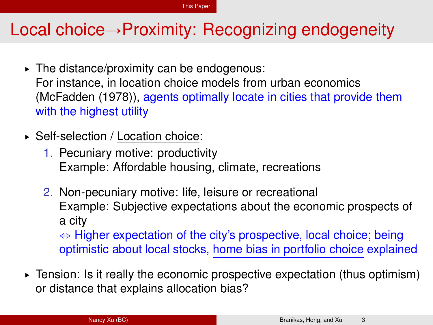- $\triangleright$  The distance/proximity can be endogenous: For instance, in location choice models from urban economics (McFadden (1978)), agents optimally locate in cities that provide them with the highest utility
- § Self-selection / Location choice:
	- 1. Pecuniary motive: productivity Example: Affordable housing, climate, recreations
	- 2. Non-pecuniary motive: life, leisure or recreational Example: Subjective expectations about the economic prospects of a city  $\Leftrightarrow$  Higher expectation of the city's prospective, local choice; being optimistic about local stocks, home bias in portfolio choice explained
- $\triangleright$  Tension: Is it really the economic prospective expectation (thus optimism) or distance that explains allocation bias?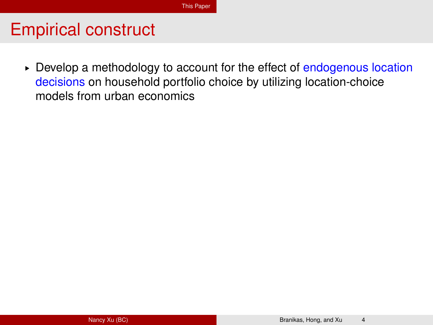$\triangleright$  Develop a methodology to account for the effect of endogenous location decisions on household portfolio choice by utilizing location-choice models from urban economics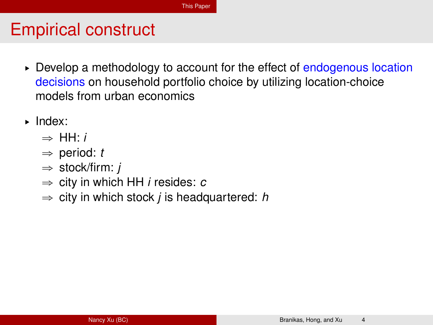- $\triangleright$  Develop a methodology to account for the effect of endogenous location decisions on household portfolio choice by utilizing location-choice models from urban economics
- § Index:
	- $\Rightarrow$  HH $\cdot$ *i*
	- $\Rightarrow$  period: *t*
	- $\Rightarrow$  stock/firm: *j*
	- $\Rightarrow$  city in which HH *i* resides: *c*
	- $\Rightarrow$  city in which stock *j* is headquartered: *h*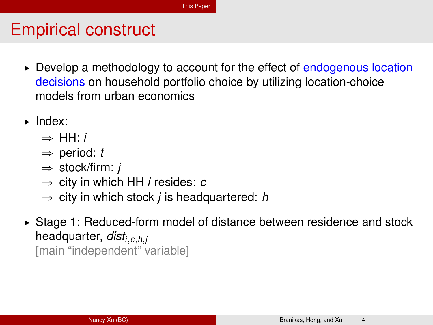- $\triangleright$  Develop a methodology to account for the effect of endogenous location decisions on household portfolio choice by utilizing location-choice models from urban economics
- § Index:
	- $\rightarrow$  HH $\cdot$ *i*
	- $\Rightarrow$  period: *t*
	- $\Rightarrow$  stock/firm: *j*
	- $\Rightarrow$  city in which HH *i* resides: *c*
	- $\Rightarrow$  city in which stock *j* is headquartered: *h*
- ► Stage 1: Reduced-form model of distance between residence and stock headquarter, *disti*,*c*,*h*,*<sup>j</sup>* [main "independent" variable]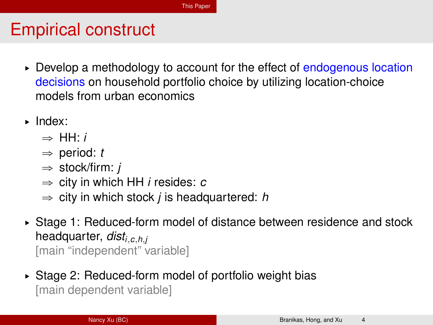- $\triangleright$  Develop a methodology to account for the effect of endogenous location decisions on household portfolio choice by utilizing location-choice models from urban economics
- § Index:
	- $\rightarrow$  HH $\cdot$ *i*
	- $\Rightarrow$  period: *t*
	- $\Rightarrow$  stock/firm: *j*
	- $\Rightarrow$  city in which HH *i* resides: *c*
	- $\Rightarrow$  city in which stock *j* is headquartered: *h*
- ► Stage 1: Reduced-form model of distance between residence and stock headquarter, *disti*,*c*,*h*,*<sup>j</sup>* [main "independent" variable]
- § Stage 2: Reduced-form model of portfolio weight bias [main dependent variable]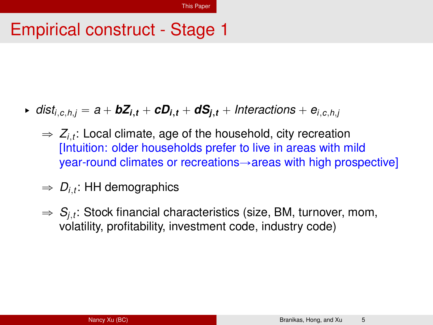## Empirical construct - Stage 1

- $\bullet$  *dist*<sub>*i*,*c*,*h*,*j* =  $a + bZ$ <sub>*i*,*t*</sub> +  $cD$ <sub>*i*,*t*</sub> +  $dS$ <sub>*i*,*t*</sub> + *Interactions* +  $e$ <sub>*i,c,h,j*</sub></sub>
	- $\Rightarrow$   $Z_{i,t}$ : Local climate, age of the household, city recreation [Intuition: older households prefer to live in areas with mild  $year$ -round climates or recreations $\rightarrow$ areas with high prospective]
	- $\Rightarrow$   $D_{i,t}$ : HH demographics
	- $\Rightarrow S_{j,t}$ : Stock financial characteristics (size, BM, turnover, mom, volatility, profitability, investment code, industry code)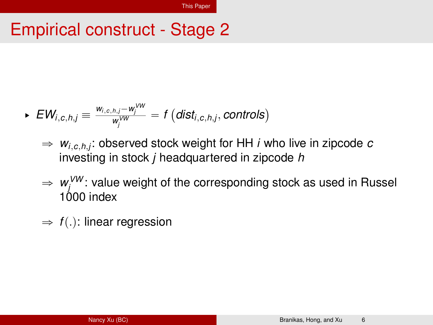### Empirical construct - Stage 2

$$
\text{ }\text{ }\text{ }\text{ }\text{ }EW_{i,c,h,j}\equiv\frac{w_{i,c,h,j}-w_j^{\vee w}}{w_j^{\vee w}}=\text{ }f\left(\text{dist}_{i,c,h,j},\text{controls}\right)
$$

- $\Rightarrow$   $w_{i,c,h,j}$ : observed stock weight for HH *i* who live in zipcode  $c$ investing in stock *j* headquartered in zipcode *h*
- $\Rightarrow$   $w_j^{VW}$ : value weight of the corresponding stock as used in Russel 1000 index
- $\Rightarrow$  *f*(.): linear regression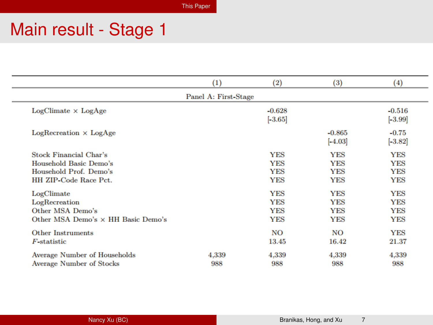[This Paper](#page-1-0)

# Main result - Stage 1

|                                                                                                            | $\left(1\right)$     | (2)                                                  | (3)                                                  | (4)                                                  |
|------------------------------------------------------------------------------------------------------------|----------------------|------------------------------------------------------|------------------------------------------------------|------------------------------------------------------|
|                                                                                                            | Panel A: First-Stage |                                                      |                                                      |                                                      |
| $LogClient \times LogAge$                                                                                  |                      | $-0.628$<br>$[-3.65]$                                |                                                      | $-0.516$<br>$[-3.99]$                                |
| $LogRecrelation \times LogAge$                                                                             |                      |                                                      | $-0.865$<br>$[-4.03]$                                | $-0.75$<br>$[-3.82]$                                 |
| <b>Stock Financial Char's</b><br>Household Basic Demo's<br>Household Prof. Demo's<br>HH ZIP-Code Race Pct. |                      | <b>YES</b><br><b>YES</b><br><b>YES</b><br><b>YES</b> | <b>YES</b><br><b>YES</b><br><b>YES</b><br><b>YES</b> | YES<br><b>YES</b><br><b>YES</b><br><b>YES</b>        |
| LogClimate<br>LogRecreation<br>Other MSA Demo's<br>Other MSA Demo's × HH Basic Demo's                      |                      | <b>YES</b><br><b>YES</b><br><b>YES</b><br><b>YES</b> | <b>YES</b><br><b>YES</b><br><b>YES</b><br><b>YES</b> | <b>YES</b><br><b>YES</b><br><b>YES</b><br><b>YES</b> |
| <b>Other Instruments</b><br>F-statistic                                                                    |                      | <b>NO</b><br>13.45                                   | NO<br>16.42                                          | <b>YES</b><br>21.37                                  |
| Average Number of Households<br><b>Average Number of Stocks</b>                                            | 4,339<br>988         | 4,339<br>988                                         | 4,339<br>988                                         | 4,339<br>988                                         |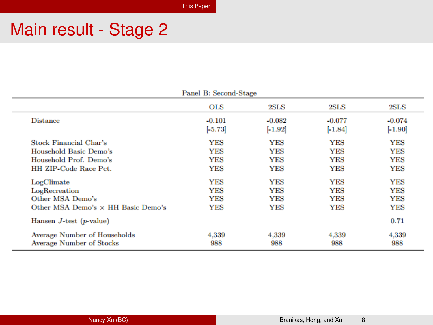# Main result - Stage 2

| Panel B: Second-Stage                                    |                       |                       |                       |                       |  |
|----------------------------------------------------------|-----------------------|-----------------------|-----------------------|-----------------------|--|
|                                                          | <b>OLS</b>            | 2SLS                  | 2SLS                  | 2SLS                  |  |
| <b>Distance</b>                                          | $-0.101$<br>$[-5.73]$ | $-0.082$<br>$[-1.92]$ | $-0.077$<br>$[-1.84]$ | $-0.074$<br>$[-1.90]$ |  |
| <b>Stock Financial Char's</b>                            | <b>YES</b>            | <b>YES</b>            | <b>YES</b>            | YES                   |  |
| Household Basic Demo's                                   | <b>YES</b>            | YES                   | <b>YES</b>            | YES                   |  |
| Household Prof. Demo's                                   | <b>YES</b>            | <b>YES</b>            | <b>YES</b>            | <b>YES</b>            |  |
| HH ZIP-Code Race Pct.                                    | <b>YES</b>            | YES                   | <b>YES</b>            | <b>YES</b>            |  |
| LogClimate                                               | <b>YES</b>            | <b>YES</b>            | <b>YES</b>            | <b>YES</b>            |  |
| LogRecreation                                            | <b>YES</b>            | YES                   | <b>YES</b>            | YES                   |  |
| Other MSA Demo's                                         | <b>YES</b>            | YES                   | <b>YES</b>            | YES                   |  |
| Other MSA Demo's × HH Basic Demo's                       | <b>YES</b>            | <b>YES</b>            | <b>YES</b>            | YES                   |  |
| Hansen $J$ -test ( $p$ -value)                           |                       |                       |                       | 0.71                  |  |
| Average Number of Households<br>Average Number of Stocks | 4.339<br>988          | 4,339<br>988          | 4,339<br>988          | 4,339<br>988          |  |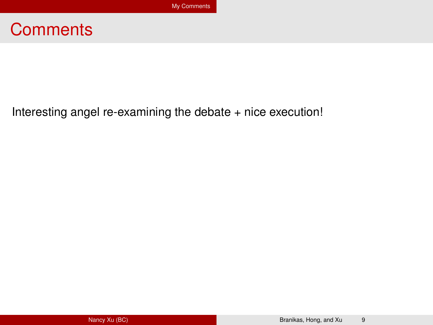#### <span id="page-21-0"></span>**Comments**

Interesting angel re-examining the debate + nice execution!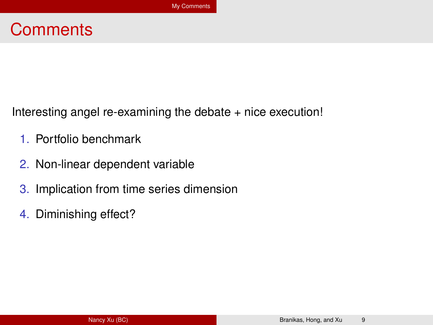#### **Comments**

Interesting angel re-examining the debate + nice execution!

- 1. Portfolio benchmark
- 2. Non-linear dependent variable
- 3. Implication from time series dimension
- 4. Diminishing effect?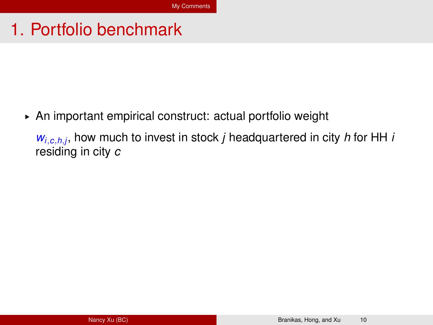▶ An important empirical construct: actual portfolio weight

*wi*,*c*,*h*,*<sup>j</sup>* , how much to invest in stock *j* headquartered in city *h* for HH *i* residing in city *c*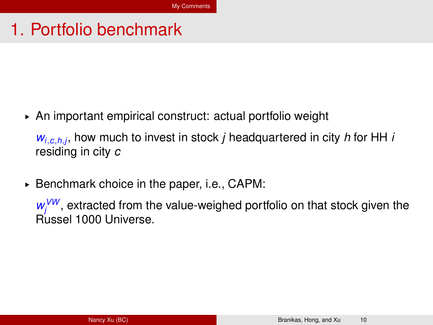▶ An important empirical construct: actual portfolio weight

*wi*,*c*,*h*,*<sup>j</sup>* , how much to invest in stock *j* headquartered in city *h* for HH *i* residing in city *c*

► Benchmark choice in the paper, i.e., CAPM:

w<sup>/W</sup>, extracted from the value-weighed portfolio on that stock given the Russel 1000 Universe.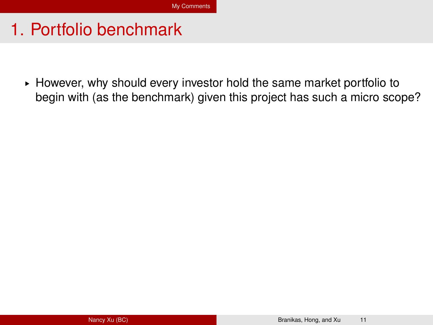§ However, why should every investor hold the same market portfolio to begin with (as the benchmark) given this project has such a micro scope?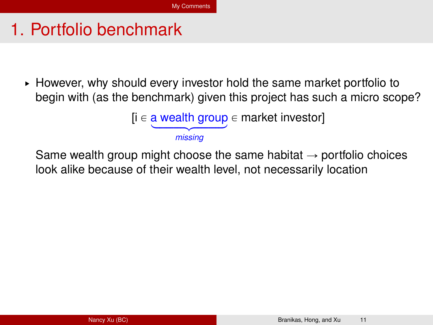$\triangleright$  However, why should every investor hold the same market portfolio to begin with (as the benchmark) given this project has such a micro scope?

$$
[i \in \underbrace{\text{a wealth group}}_{\text{missing}} \in \text{market investor}]
$$

Same wealth group might choose the same habitat  $\rightarrow$  portfolio choices look alike because of their wealth level, not necessarily location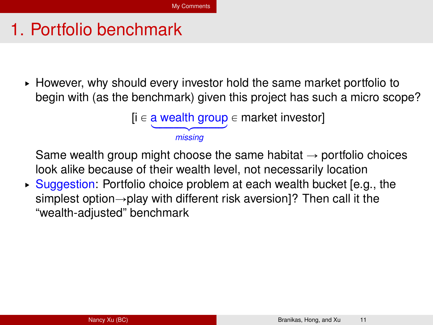$\triangleright$  However, why should every investor hold the same market portfolio to begin with (as the benchmark) given this project has such a micro scope?

$$
[i \in \underbrace{\text{a wealth group}}_{\text{missing}} \in \text{market investor}]
$$

Same wealth group might choose the same habitat  $\rightarrow$  portfolio choices look alike because of their wealth level, not necessarily location

► Suggestion: Portfolio choice problem at each wealth bucket [e.g., the simplest option $\rightarrow$ play with different risk aversion]? Then call it the "wealth-adjusted" benchmark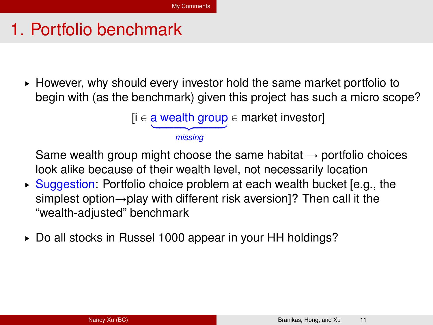$\triangleright$  However, why should every investor hold the same market portfolio to begin with (as the benchmark) given this project has such a micro scope?

$$
[i \in \underbrace{\text{a wealth group}}_{\text{missing}} \in \text{market investor}]
$$

Same wealth group might choose the same habitat  $\rightarrow$  portfolio choices look alike because of their wealth level, not necessarily location

- ► Suggestion: Portfolio choice problem at each wealth bucket [e.g., the simplest option $\rightarrow$ play with different risk aversion]? Then call it the "wealth-adjusted" benchmark
- § Do all stocks in Russel 1000 appear in your HH holdings?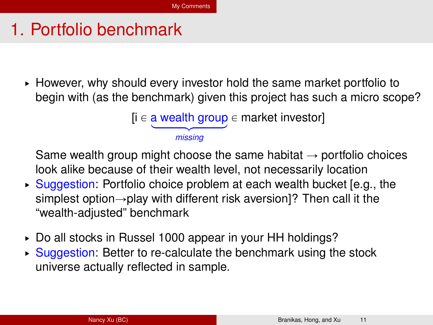$\triangleright$  However, why should every investor hold the same market portfolio to begin with (as the benchmark) given this project has such a micro scope?

$$
[i \in \underbrace{\text{a wealth group}}_{\text{missing}} \in \text{market investor}]
$$

Same wealth group might choose the same habitat  $\rightarrow$  portfolio choices look alike because of their wealth level, not necessarily location

- ► Suggestion: Portfolio choice problem at each wealth bucket [e.g., the simplest option $\rightarrow$ play with different risk aversion]? Then call it the "wealth-adjusted" benchmark
- § Do all stocks in Russel 1000 appear in your HH holdings?
- ▶ Suggestion: Better to re-calculate the benchmark using the stock universe actually reflected in sample.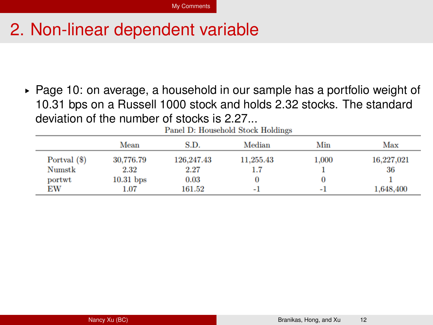$\triangleright$  Page 10: on average, a household in our sample has a portfolio weight of 10.31 bps on a Russell 1000 stock and holds 2.32 stocks. The standard deviation of the number of stocks is  $2.27...$ <br>Rangl D: Household Stock Holdings

|              | Mean        | S.D.       | Median    | Min   | Max        |
|--------------|-------------|------------|-----------|-------|------------|
| Portval (\$) | 30,776.79   | 126,247.43 | 11,255.43 | 1,000 | 16,227,021 |
| Numstk       | 2.32        | 2.27       |           |       | 36         |
| portwt       | $10.31$ bps | 0.03       |           |       |            |
| EW           | 1.07        | 161.52     | ۰ı        | ۰ı    | 1,648,400  |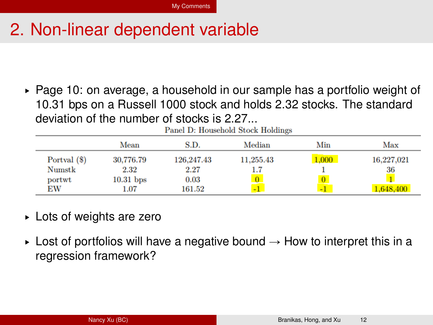$\triangleright$  Page 10: on average, a household in our sample has a portfolio weight of 10.31 bps on a Russell 1000 stock and holds 2.32 stocks. The standard deviation of the number of stocks is 2.27...<br>Real Bullary Real Bullions

| Faner D: Household Stock Holdings |             |            |           |       |            |
|-----------------------------------|-------------|------------|-----------|-------|------------|
|                                   | Mean        | S.D.       | Median    | Min   | Max        |
| Portval (\$)                      | 30,776.79   | 126,247.43 | 11,255.43 | 1,000 | 16,227,021 |
| Numstk                            | 2.32        | 2.27       |           |       | 36         |
| portwt                            | $10.31$ bps | 0.03       |           |       |            |
| EW                                | $1.07\,$    | 161.52     | -1        | $-1$  | 1,648,400  |

- § Lots of weights are zero
- $\triangleright$  Lost of portfolios will have a negative bound  $\rightarrow$  How to interpret this in a regression framework?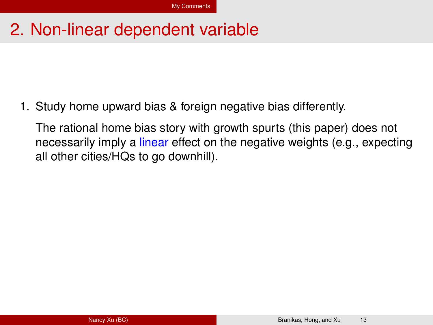1. Study home upward bias & foreign negative bias differently.

The rational home bias story with growth spurts (this paper) does not necessarily imply a linear effect on the negative weights (e.g., expecting all other cities/HQs to go downhill).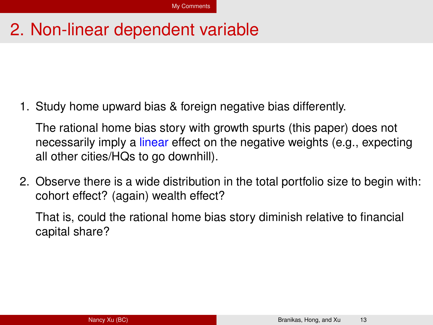1. Study home upward bias & foreign negative bias differently.

The rational home bias story with growth spurts (this paper) does not necessarily imply a linear effect on the negative weights (e.g., expecting all other cities/HQs to go downhill).

2. Observe there is a wide distribution in the total portfolio size to begin with: cohort effect? (again) wealth effect?

That is, could the rational home bias story diminish relative to financial capital share?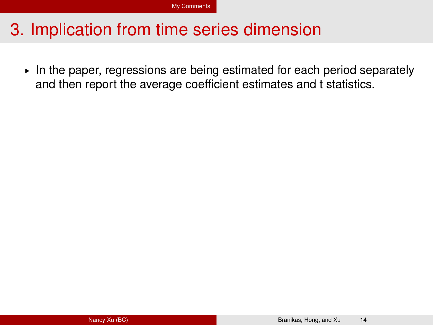§ In the paper, regressions are being estimated for each period separately and then report the average coefficient estimates and t statistics.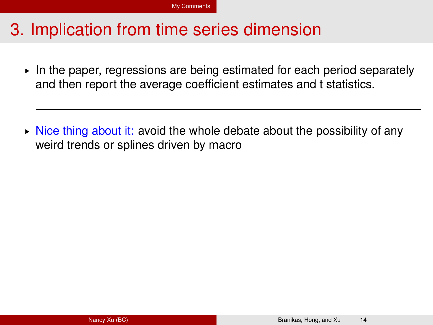$\triangleright$  In the paper, regressions are being estimated for each period separately and then report the average coefficient estimates and t statistics.

 $\triangleright$  Nice thing about it: avoid the whole debate about the possibility of any weird trends or splines driven by macro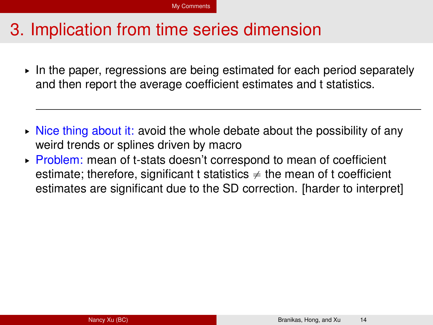$\triangleright$  In the paper, regressions are being estimated for each period separately and then report the average coefficient estimates and t statistics.

- $\triangleright$  Nice thing about it: avoid the whole debate about the possibility of any weird trends or splines driven by macro
- ▶ Problem: mean of t-stats doesn't correspond to mean of coefficient estimate; therefore, significant t statistics  $\neq$  the mean of t coefficient estimates are significant due to the SD correction. [harder to interpret]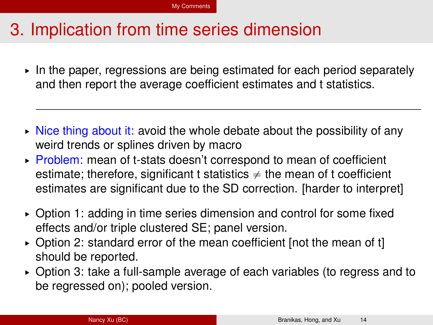- $\triangleright$  In the paper, regressions are being estimated for each period separately and then report the average coefficient estimates and t statistics.
- $\triangleright$  Nice thing about it: avoid the whole debate about the possibility of any weird trends or splines driven by macro
- ▶ Problem: mean of t-stats doesn't correspond to mean of coefficient estimate; therefore, significant t statistics  $\neq$  the mean of t coefficient estimates are significant due to the SD correction. [harder to interpret]
- § Option 1: adding in time series dimension and control for some fixed effects and/or triple clustered SE; panel version.
- § Option 2: standard error of the mean coefficient [not the mean of t] should be reported.
- § Option 3: take a full-sample average of each variables (to regress and to be regressed on); pooled version.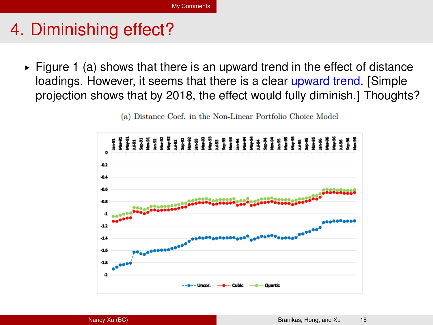# 4. Diminishing effect?

 $\triangleright$  Figure 1 (a) shows that there is an upward trend in the effect of distance loadings. However, it seems that there is a clear upward trend. [Simple projection shows that by 2018, the effect would fully diminish.] Thoughts?



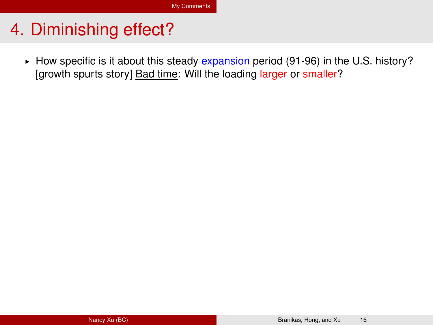## 4. Diminishing effect?

► How specific is it about this steady expansion period (91-96) in the U.S. history? [growth spurts story] Bad time: Will the loading larger or smaller?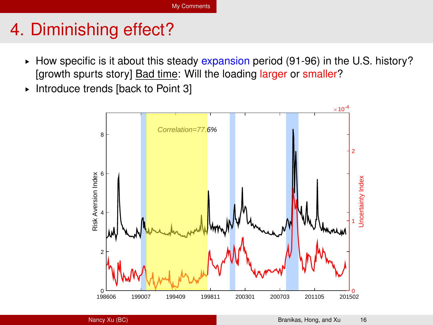# 4. Diminishing effect?

- $\blacktriangleright$  How specific is it about this steady expansion period (91-96) in the U.S. history? [growth spurts story] Bad time: Will the loading larger or smaller?
- § Introduce trends [back to Point 3]

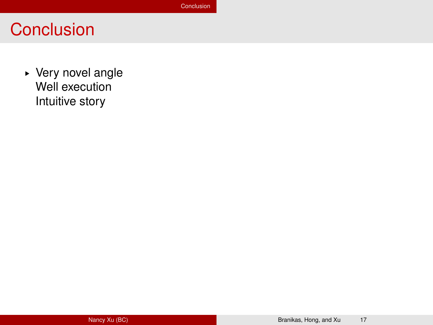#### <span id="page-41-0"></span>**Conclusion**

§ Very novel angle Well execution Intuitive story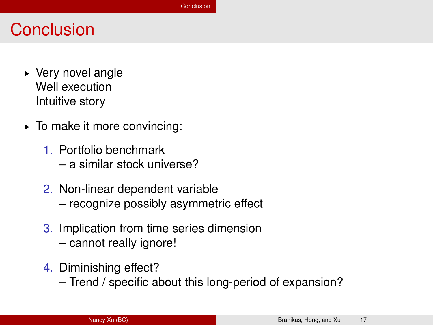#### **Conclusion**

- § Very novel angle Well execution Intuitive story
- § To make it more convincing:
	- 1. Portfolio benchmark – a similar stock universe?
	- 2. Non-linear dependent variable – recognize possibly asymmetric effect
	- 3. Implication from time series dimension – cannot really ignore!
	- 4. Diminishing effect?
		- Trend / specific about this long-period of expansion?